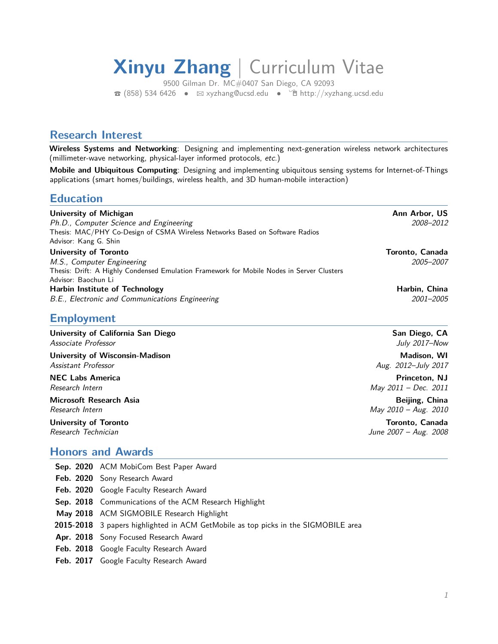# **Xinyu Zhang** | Curriculum Vitae

9500 Gilman Dr. MC#0407 San Diego, CA 92093  $\bullet$  (858) 534 6426 •  $\boxtimes$  [xyzhang@ucsd.edu](mailto:xyzhang@ucsd.edu) •  $\hat{\mathbb{P}}$  <http://xyzhang.ucsd.edu>

## **Research Interest**

**Wireless Systems and Networking**: Designing and implementing next-generation wireless network architectures (millimeter-wave networking, physical-layer informed protocols, etc.)

**Mobile and Ubiquitous Computing**: Designing and implementing ubiquitous sensing systems for Internet-of-Things applications (smart homes/buildings, wireless health, and 3D human-mobile interaction)

## **Education**

| <b>University of Michigan</b>                                                             | Ann Arbor, US   |
|-------------------------------------------------------------------------------------------|-----------------|
| Ph.D., Computer Science and Engineering                                                   | 2008-2012       |
| Thesis: MAC/PHY Co-Design of CSMA Wireless Networks Based on Software Radios              |                 |
| Advisor: Kang G. Shin                                                                     |                 |
| University of Toronto                                                                     | Toronto, Canada |
| M.S., Computer Engineering                                                                | 2005–2007       |
| Thesis: Drift: A Highly Condensed Emulation Framework for Mobile Nodes in Server Clusters |                 |
| Advisor: Baochun Li                                                                       |                 |
| <b>Harbin Institute of Technology</b>                                                     | Harbin, China   |
| B.E., Electronic and Communications Engineering                                           | 2001-2005       |

# **Employment**

| University of California San Diego     | San Diego, CA         |
|----------------------------------------|-----------------------|
| Associate Professor                    | July 2017–Now         |
| <b>University of Wisconsin-Madison</b> | Madison, WI           |
| Assistant Professor                    | Aug. 2012–July 2017   |
| <b>NEC Labs America</b>                | Princeton, NJ         |
| Research Intern                        | May 2011 - Dec. 2011  |
| Microsoft Research Asia                | Beijing, China        |
| Research Intern                        | May 2010 - Aug. 2010  |
| <b>University of Toronto</b>           | Toronto, Canada       |
| Research Technician                    | June 2007 - Aug. 2008 |

# **Honors and Awards**

| Sep. 2020 ACM MobiCom Best Paper Award                                             |
|------------------------------------------------------------------------------------|
| Feb. 2020 Sony Research Award                                                      |
| Feb. 2020 Google Faculty Research Award                                            |
| <b>Sep. 2018</b> Communications of the ACM Research Highlight                      |
| May 2018 ACM SIGMOBILE Research Highlight                                          |
| 2015-2018 3 papers highlighted in ACM GetMobile as top picks in the SIGMOBILE area |
| Apr. 2018 Sony Focused Research Award                                              |
| Feb. 2018 Google Faculty Research Award                                            |
| Feb. 2017 Google Faculty Research Award                                            |
|                                                                                    |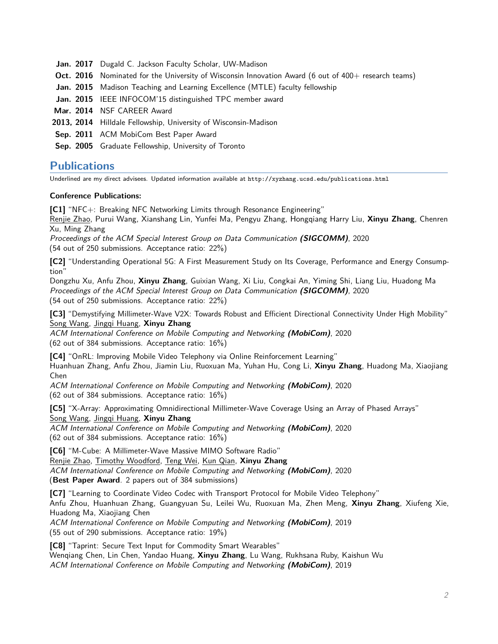- **Jan. 2017** Dugald C. Jackson Faculty Scholar, UW-Madison
- **Oct. 2016** Nominated for the University of Wisconsin Innovation Award (6 out of 400+ research teams)
- **Jan. 2015** Madison Teaching and Learning Excellence (MTLE) faculty fellowship
- **Jan. 2015** IEEE INFOCOM'15 distinguished TPC member award
- **Mar. 2014** NSF CAREER Award
- **2013, 2014** Hilldale Fellowship, University of Wisconsin-Madison
- **Sep. 2011** ACM MobiCom Best Paper Award
- **Sep. 2005** Graduate Fellowship, University of Toronto

## **Publications**

Underlined are my direct advisees. Updated information available at http://xyzhang.ucsd.edu/publications.html

#### **Conference Publications:**

**[C1]** "NFC+: Breaking NFC Networking Limits through Resonance Engineering"

Renjie Zhao, Purui Wang, Xianshang Lin, Yunfei Ma, Pengyu Zhang, Hongqiang Harry Liu, **Xinyu Zhang**, Chenren Xu, Ming Zhang

Proceedings of the ACM Special Interest Group on Data Communication **(SIGCOMM)**, 2020 (54 out of 250 submissions. Acceptance ratio: 22%)

**[C2]** "Understanding Operational 5G: A First Measurement Study on Its Coverage, Performance and Energy Consumption"

Dongzhu Xu, Anfu Zhou, **Xinyu Zhang**, Guixian Wang, Xi Liu, Congkai An, Yiming Shi, Liang Liu, Huadong Ma Proceedings of the ACM Special Interest Group on Data Communication **(SIGCOMM)**, 2020 (54 out of 250 submissions. Acceptance ratio: 22%)

**[C3]** "Demystifying Millimeter-Wave V2X: Towards Robust and Efficient Directional Connectivity Under High Mobility" Song Wang, Jingqi Huang, **Xinyu Zhang**

ACM International Conference on Mobile Computing and Networking **(MobiCom)**, 2020 (62 out of 384 submissions. Acceptance ratio: 16%)

**[C4]** "OnRL: Improving Mobile Video Telephony via Online Reinforcement Learning" Huanhuan Zhang, Anfu Zhou, Jiamin Liu, Ruoxuan Ma, Yuhan Hu, Cong Li, **Xinyu Zhang**, Huadong Ma, Xiaojiang Chen

ACM International Conference on Mobile Computing and Networking **(MobiCom)**, 2020 (62 out of 384 submissions. Acceptance ratio: 16%)

**[C5]** "X-Array: Approximating Omnidirectional Millimeter-Wave Coverage Using an Array of Phased Arrays" Song Wang, Jingqi Huang, **Xinyu Zhang**

ACM International Conference on Mobile Computing and Networking **(MobiCom)**, 2020 (62 out of 384 submissions. Acceptance ratio: 16%)

**[C6]** "M-Cube: A Millimeter-Wave Massive MIMO Software Radio" Renjie Zhao, Timothy Woodford, Teng Wei, Kun Qian, **Xinyu Zhang**

ACM International Conference on Mobile Computing and Networking **(MobiCom)**, 2020 (**Best Paper Award**. 2 papers out of 384 submissions)

**[C7]** "Learning to Coordinate Video Codec with Transport Protocol for Mobile Video Telephony" Anfu Zhou, Huanhuan Zhang, Guangyuan Su, Leilei Wu, Ruoxuan Ma, Zhen Meng, **Xinyu Zhang**, Xiufeng Xie, Huadong Ma, Xiaojiang Chen ACM International Conference on Mobile Computing and Networking **(MobiCom)**, 2019

(55 out of 290 submissions. Acceptance ratio: 19%)

**[C8]** "Taprint: Secure Text Input for Commodity Smart Wearables" Wenqiang Chen, Lin Chen, Yandao Huang, **Xinyu Zhang**, Lu Wang, Rukhsana Ruby, Kaishun Wu ACM International Conference on Mobile Computing and Networking **(MobiCom)**, 2019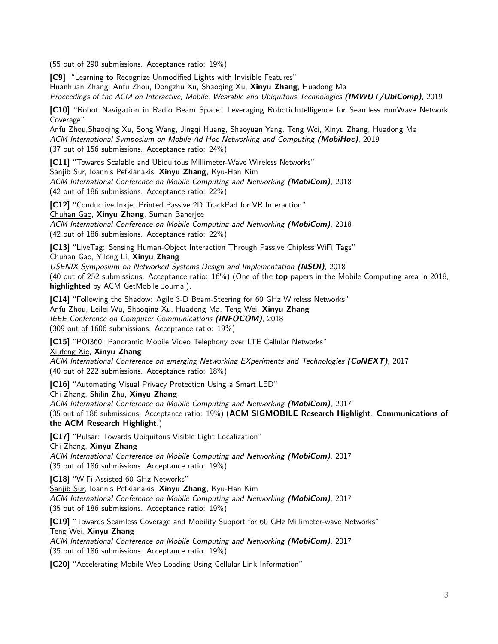(55 out of 290 submissions. Acceptance ratio: 19%)

**[C9]** "Learning to Recognize Unmodified Lights with Invisible Features"

Huanhuan Zhang, Anfu Zhou, Dongzhu Xu, Shaoqing Xu, **Xinyu Zhang**, Huadong Ma

Proceedings of the ACM on Interactive, Mobile, Wearable and Ubiquitous Technologies **(IMWUT/UbiComp)**, 2019

**[C10]** "Robot Navigation in Radio Beam Space: Leveraging RoboticIntelligence for Seamless mmWave Network Coverage"

Anfu Zhou,Shaoqing Xu, Song Wang, Jingqi Huang, Shaoyuan Yang, Teng Wei, Xinyu Zhang, Huadong Ma ACM International Symposium on Mobile Ad Hoc Networking and Computing **(MobiHoc)**, 2019 (37 out of 156 submissions. Acceptance ratio: 24%)

**[C11]** "Towards Scalable and Ubiquitous Millimeter-Wave Wireless Networks" Sanjib Sur, Ioannis Pefkianakis, **Xinyu Zhang**, Kyu-Han Kim ACM International Conference on Mobile Computing and Networking **(MobiCom)**, 2018 (42 out of 186 submissions. Acceptance ratio: 22%)

**[C12]** "Conductive Inkjet Printed Passive 2D TrackPad for VR Interaction" Chuhan Gao, **Xinyu Zhang**, Suman Banerjee ACM International Conference on Mobile Computing and Networking **(MobiCom)**, 2018 (42 out of 186 submissions. Acceptance ratio: 22%)

**[C13]** "LiveTag: Sensing Human-Object Interaction Through Passive Chipless WiFi Tags" Chuhan Gao, Yilong Li, **Xinyu Zhang**

USENIX Symposium on Networked Systems Design and Implementation **(NSDI)**, 2018 (40 out of 252 submissions. Acceptance ratio: 16%) (One of the **top** papers in the Mobile Computing area in 2018, **highlighted** by ACM GetMobile Journal).

**[C14]** "Following the Shadow: Agile 3-D Beam-Steering for 60 GHz Wireless Networks" Anfu Zhou, Leilei Wu, Shaoqing Xu, Huadong Ma, Teng Wei, **Xinyu Zhang** IEEE Conference on Computer Communications **(INFOCOM)**, 2018 (309 out of 1606 submissions. Acceptance ratio: 19%)

**[C15]** "POI360: Panoramic Mobile Video Telephony over LTE Cellular Networks" Xiufeng Xie, **Xinyu Zhang**

ACM International Conference on emerging Networking EXperiments and Technologies **(CoNEXT)**, 2017 (40 out of 222 submissions. Acceptance ratio: 18%)

**[C16]** "Automating Visual Privacy Protection Using a Smart LED"

Chi Zhang, Shilin Zhu, **Xinyu Zhang**

ACM International Conference on Mobile Computing and Networking **(MobiCom)**, 2017 (35 out of 186 submissions. Acceptance ratio: 19%) (**ACM SIGMOBILE Research Highlight**. **Communications of the ACM Research Highlight**.)

**[C17]** "Pulsar: Towards Ubiquitous Visible Light Localization"

Chi Zhang, **Xinyu Zhang**

ACM International Conference on Mobile Computing and Networking **(MobiCom)**, 2017 (35 out of 186 submissions. Acceptance ratio: 19%)

**[C18]** "WiFi-Assisted 60 GHz Networks"

Sanjib Sur, Ioannis Pefkianakis, **Xinyu Zhang**, Kyu-Han Kim ACM International Conference on Mobile Computing and Networking **(MobiCom)**, 2017 (35 out of 186 submissions. Acceptance ratio: 19%)

**[C19]** "Towards Seamless Coverage and Mobility Support for 60 GHz Millimeter-wave Networks" Teng Wei, **Xinyu Zhang**

ACM International Conference on Mobile Computing and Networking **(MobiCom)**, 2017 (35 out of 186 submissions. Acceptance ratio: 19%)

**[C20]** "Accelerating Mobile Web Loading Using Cellular Link Information"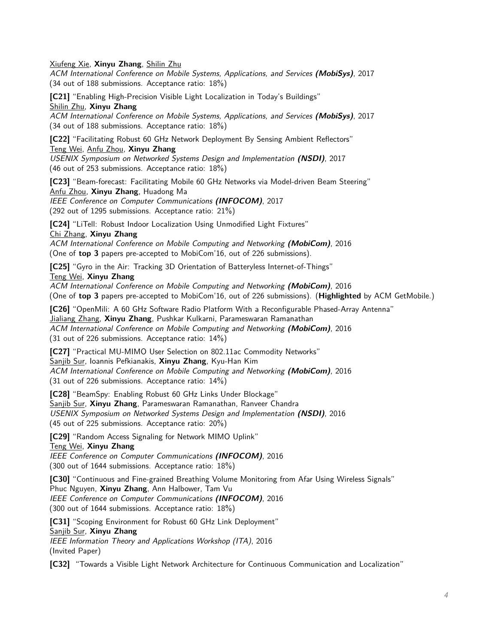Xiufeng Xie, **Xinyu Zhang**, Shilin Zhu

ACM International Conference on Mobile Systems, Applications, and Services **(MobiSys)**, 2017 (34 out of 188 submissions. Acceptance ratio: 18%)

**[C21]** "Enabling High-Precision Visible Light Localization in Today's Buildings"

Shilin Zhu, **Xinyu Zhang**

ACM International Conference on Mobile Systems, Applications, and Services **(MobiSys)**, 2017 (34 out of 188 submissions. Acceptance ratio: 18%)

**[C22]** "Facilitating Robust 60 GHz Network Deployment By Sensing Ambient Reflectors" Teng Wei, Anfu Zhou, **Xinyu Zhang**

USENIX Symposium on Networked Systems Design and Implementation **(NSDI)**, 2017 (46 out of 253 submissions. Acceptance ratio: 18%)

**[C23]** "Beam-forecast: Facilitating Mobile 60 GHz Networks via Model-driven Beam Steering" Anfu Zhou, **Xinyu Zhang**, Huadong Ma

IEEE Conference on Computer Communications **(INFOCOM)**, 2017 (292 out of 1295 submissions. Acceptance ratio: 21%)

**[C24]** "LiTell: Robust Indoor Localization Using Unmodified Light Fixtures"

Chi Zhang, **Xinyu Zhang**

ACM International Conference on Mobile Computing and Networking **(MobiCom)**, 2016 (One of **top 3** papers pre-accepted to MobiCom'16, out of 226 submissions).

**[C25]** "Gyro in the Air: Tracking 3D Orientation of Batteryless Internet-of-Things"

Teng Wei, **Xinyu Zhang**

ACM International Conference on Mobile Computing and Networking **(MobiCom)**, 2016 (One of **top 3** papers pre-accepted to MobiCom'16, out of 226 submissions). (**Highlighted** by ACM GetMobile.)

**[C26]** "OpenMili: A 60 GHz Software Radio Platform With a Reconfigurable Phased-Array Antenna" Jialiang Zhang, **Xinyu Zhang**, Pushkar Kulkarni, Parameswaran Ramanathan ACM International Conference on Mobile Computing and Networking **(MobiCom)**, 2016 (31 out of 226 submissions. Acceptance ratio: 14%)

**[C27]** "Practical MU-MIMO User Selection on 802.11ac Commodity Networks" Sanjib Sur, Ioannis Pefkianakis, **Xinyu Zhang**, Kyu-Han Kim ACM International Conference on Mobile Computing and Networking **(MobiCom)**, 2016 (31 out of 226 submissions. Acceptance ratio: 14%)

**[C28]** "BeamSpy: Enabling Robust 60 GHz Links Under Blockage" Sanjib Sur, **Xinyu Zhang**, Parameswaran Ramanathan, Ranveer Chandra USENIX Symposium on Networked Systems Design and Implementation **(NSDI)**, 2016 (45 out of 225 submissions. Acceptance ratio: 20%)

**[C29]** "Random Access Signaling for Network MIMO Uplink"

Teng Wei, **Xinyu Zhang**

IEEE Conference on Computer Communications **(INFOCOM)**, 2016 (300 out of 1644 submissions. Acceptance ratio: 18%)

**[C30]** "Continuous and Fine-grained Breathing Volume Monitoring from Afar Using Wireless Signals" Phuc Nguyen, **Xinyu Zhang**, Ann Halbower, Tam Vu IEEE Conference on Computer Communications **(INFOCOM)**, 2016 (300 out of 1644 submissions. Acceptance ratio: 18%)

**[C31]** "Scoping Environment for Robust 60 GHz Link Deployment" Sanjib Sur, **Xinyu Zhang** IEEE Information Theory and Applications Workshop (ITA), 2016 (Invited Paper)

**[C32]** "Towards a Visible Light Network Architecture for Continuous Communication and Localization"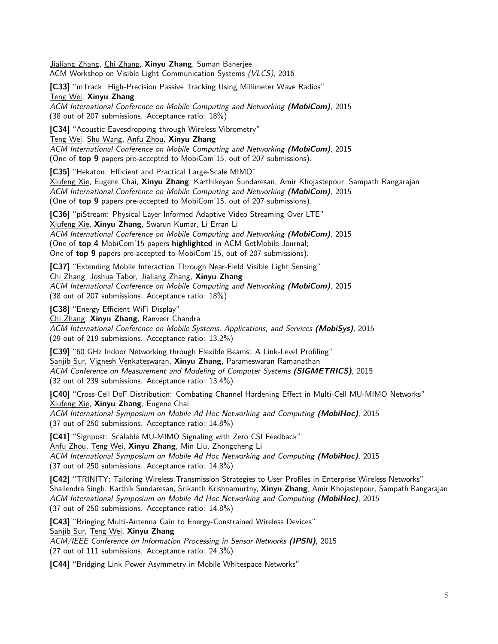Jialiang Zhang, Chi Zhang, **Xinyu Zhang**, Suman Banerjee ACM Workshop on Visible Light Communication Systems (VLCS), 2016

**[C33]** "mTrack: High-Precision Passive Tracking Using Millimeter Wave Radios" Teng Wei, **Xinyu Zhang**

ACM International Conference on Mobile Computing and Networking **(MobiCom)**, 2015 (38 out of 207 submissions. Acceptance ratio: 18%)

**[C34]** "Acoustic Eavesdropping through Wireless Vibrometry"

Teng Wei, Shu Wang, Anfu Zhou, **Xinyu Zhang**

ACM International Conference on Mobile Computing and Networking **(MobiCom)**, 2015 (One of **top 9** papers pre-accepted to MobiCom'15, out of 207 submissions).

**[C35]** "Hekaton: Efficient and Practical Large-Scale MIMO"

Xiufeng Xie, Eugene Chai, **Xinyu Zhang**, Karthikeyan Sundaresan, Amir Khojastepour, Sampath Rangarajan ACM International Conference on Mobile Computing and Networking **(MobiCom)**, 2015 (One of **top 9** papers pre-accepted to MobiCom'15, out of 207 submissions).

**[C36]** "piStream: Physical Layer Informed Adaptive Video Streaming Over LTE" Xiufeng Xie, **Xinyu Zhang**, Swarun Kumar, Li Erran Li ACM International Conference on Mobile Computing and Networking **(MobiCom)**, 2015 (One of **top 4** MobiCom'15 papers **highlighted** in ACM GetMobile Journal; One of **top 9** papers pre-accepted to MobiCom'15, out of 207 submissions).

**[C37]** "Extending Mobile Interaction Through Near-Field Visible Light Sensing" Chi Zhang, Joshua Tabor, Jialiang Zhang, **Xinyu Zhang** ACM International Conference on Mobile Computing and Networking **(MobiCom)**, 2015 (38 out of 207 submissions. Acceptance ratio: 18%)

**[C38]** "Energy Efficient WiFi Display"

Chi Zhang, **Xinyu Zhang**, Ranveer Chandra

ACM International Conference on Mobile Systems, Applications, and Services **(MobiSys)**, 2015 (29 out of 219 submissions. Acceptance ratio: 13.2%)

**[C39]** "60 GHz Indoor Networking through Flexible Beams: A Link-Level Profiling" Sanjib Sur, Vignesh Venkateswaran, **Xinyu Zhang**, Parameswaran Ramanathan ACM Conference on Measurement and Modeling of Computer Systems **(SIGMETRICS)**, 2015 (32 out of 239 submissions. Acceptance ratio: 13.4%)

**[C40]** "Cross-Cell DoF Distribution: Combating Channel Hardening Effect in Multi-Cell MU-MIMO Networks" Xiufeng Xie, **Xinyu Zhang**, Eugene Chai ACM International Symposium on Mobile Ad Hoc Networking and Computing **(MobiHoc)**, 2015

(37 out of 250 submissions. Acceptance ratio: 14.8%)

**[C41]** "Signpost: Scalable MU-MIMO Signaling with Zero CSI Feedback" Anfu Zhou, Teng Wei, **Xinyu Zhang**, Min Liu, Zhongcheng Li ACM International Symposium on Mobile Ad Hoc Networking and Computing **(MobiHoc)**, 2015 (37 out of 250 submissions. Acceptance ratio: 14.8%)

**[C42]** "TRINITY: Tailoring Wireless Transmission Strategies to User Profiles in Enterprise Wireless Networks" Shailendra Singh, Karthik Sundaresan, Srikanth Krishnamurthy, **Xinyu Zhang**, Amir Khojastepour, Sampath Rangarajan ACM International Symposium on Mobile Ad Hoc Networking and Computing **(MobiHoc)**, 2015 (37 out of 250 submissions. Acceptance ratio: 14.8%)

**[C43]** "Bringing Multi-Antenna Gain to Energy-Constrained Wireless Devices" Sanjib Sur, Teng Wei, **Xinyu Zhang** ACM/IEEE Conference on Information Processing in Sensor Networks **(IPSN)**, 2015 (27 out of 111 submissions. Acceptance ratio: 24.3%)

**[C44]** "Bridging Link Power Asymmetry in Mobile Whitespace Networks"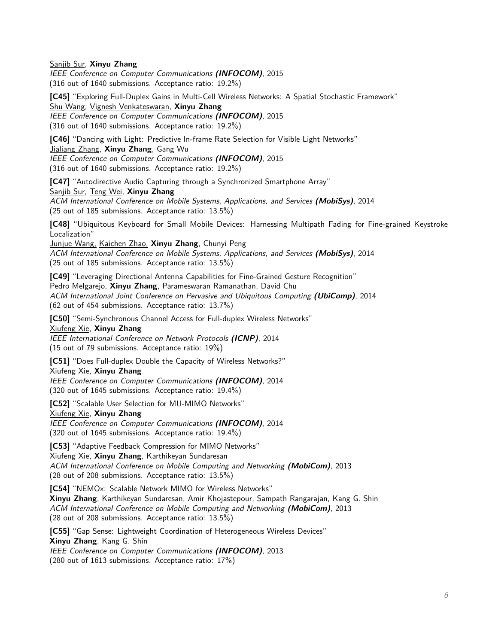Sanjib Sur, **Xinyu Zhang**

IEEE Conference on Computer Communications **(INFOCOM)**, 2015 (316 out of 1640 submissions. Acceptance ratio: 19.2%)

**[C45]** "Exploring Full-Duplex Gains in Multi-Cell Wireless Networks: A Spatial Stochastic Framework" Shu Wang, Vignesh Venkateswaran, **Xinyu Zhang** IEEE Conference on Computer Communications **(INFOCOM)**, 2015

(316 out of 1640 submissions. Acceptance ratio: 19.2%)

**[C46]** "Dancing with Light: Predictive In-frame Rate Selection for Visible Light Networks" Jialiang Zhang, **Xinyu Zhang**, Gang Wu IEEE Conference on Computer Communications **(INFOCOM)**, 2015 (316 out of 1640 submissions. Acceptance ratio: 19.2%)

**[C47]** "Autodirective Audio Capturing through a Synchronized Smartphone Array" Sanjib Sur, Teng Wei, **Xinyu Zhang** ACM International Conference on Mobile Systems, Applications, and Services **(MobiSys)**, 2014

(25 out of 185 submissions. Acceptance ratio: 13.5%) **[C48]** "Ubiquitous Keyboard for Small Mobile Devices: Harnessing Multipath Fading for Fine-grained Keystroke

Localization" Junjue Wang, Kaichen Zhao, **Xinyu Zhang**, Chunyi Peng ACM International Conference on Mobile Systems, Applications, and Services **(MobiSys)**, 2014

(25 out of 185 submissions. Acceptance ratio: 13.5%)

**[C49]** "Leveraging Directional Antenna Capabilities for Fine-Grained Gesture Recognition" Pedro Melgarejo, **Xinyu Zhang**, Parameswaran Ramanathan, David Chu ACM International Joint Conference on Pervasive and Ubiquitous Computing **(UbiComp)**, 2014 (62 out of 454 submissions. Acceptance ratio: 13.7%)

**[C50]** "Semi-Synchronous Channel Access for Full-duplex Wireless Networks" Xiufeng Xie, **Xinyu Zhang**

IEEE International Conference on Network Protocols **(ICNP)**, 2014 (15 out of 79 submissions. Acceptance ratio: 19%)

**[C51]** "Does Full-duplex Double the Capacity of Wireless Networks?" Xiufeng Xie, **Xinyu Zhang** IEEE Conference on Computer Communications **(INFOCOM)**, 2014

(320 out of 1645 submissions. Acceptance ratio: 19.4%)

**[C52]** "Scalable User Selection for MU-MIMO Networks"

Xiufeng Xie, **Xinyu Zhang**

IEEE Conference on Computer Communications **(INFOCOM)**, 2014 (320 out of 1645 submissions. Acceptance ratio: 19.4%)

**[C53]** "Adaptive Feedback Compression for MIMO Networks"

Xiufeng Xie, **Xinyu Zhang**, Karthikeyan Sundaresan ACM International Conference on Mobile Computing and Networking **(MobiCom)**, 2013 (28 out of 208 submissions. Acceptance ratio: 13.5%)

**[C54]** "NEMOx: Scalable Network MIMO for Wireless Networks" **Xinyu Zhang**, Karthikeyan Sundaresan, Amir Khojastepour, Sampath Rangarajan, Kang G. Shin ACM International Conference on Mobile Computing and Networking **(MobiCom)**, 2013 (28 out of 208 submissions. Acceptance ratio: 13.5%)

**[C55]** "Gap Sense: Lightweight Coordination of Heterogeneous Wireless Devices" **Xinyu Zhang**, Kang G. Shin IEEE Conference on Computer Communications **(INFOCOM)**, 2013

(280 out of 1613 submissions. Acceptance ratio: 17%)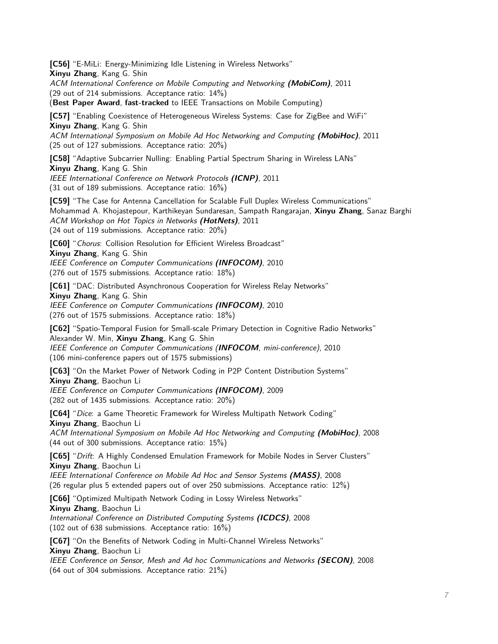**[C56]** "E-MiLi: Energy-Minimizing Idle Listening in Wireless Networks" **Xinyu Zhang**, Kang G. Shin ACM International Conference on Mobile Computing and Networking **(MobiCom)**, 2011 (29 out of 214 submissions. Acceptance ratio: 14%) (**Best Paper Award**, **fast-tracked** to IEEE Transactions on Mobile Computing) **[C57]** "Enabling Coexistence of Heterogeneous Wireless Systems: Case for ZigBee and WiFi" **Xinyu Zhang**, Kang G. Shin ACM International Symposium on Mobile Ad Hoc Networking and Computing **(MobiHoc)**, 2011 (25 out of 127 submissions. Acceptance ratio: 20%) **[C58]** "Adaptive Subcarrier Nulling: Enabling Partial Spectrum Sharing in Wireless LANs" **Xinyu Zhang**, Kang G. Shin IEEE International Conference on Network Protocols **(ICNP)**, 2011 (31 out of 189 submissions. Acceptance ratio: 16%) **[C59]** "The Case for Antenna Cancellation for Scalable Full Duplex Wireless Communications" Mohammad A. Khojastepour, Karthikeyan Sundaresan, Sampath Rangarajan, **Xinyu Zhang**, Sanaz Barghi ACM Workshop on Hot Topics in Networks **(HotNets)**, 2011 (24 out of 119 submissions. Acceptance ratio: 20%) **[C60]** "Chorus: Collision Resolution for Efficient Wireless Broadcast" **Xinyu Zhang**, Kang G. Shin IEEE Conference on Computer Communications **(INFOCOM)**, 2010 (276 out of 1575 submissions. Acceptance ratio: 18%) **[C61]** "DAC: Distributed Asynchronous Cooperation for Wireless Relay Networks" **Xinyu Zhang**, Kang G. Shin IEEE Conference on Computer Communications **(INFOCOM)**, 2010 (276 out of 1575 submissions. Acceptance ratio: 18%) **[C62]** "Spatio-Temporal Fusion for Small-scale Primary Detection in Cognitive Radio Networks" Alexander W. Min, **Xinyu Zhang**, Kang G. Shin IEEE Conference on Computer Communications (**INFOCOM**, mini-conference), 2010 (106 mini-conference papers out of 1575 submissions) **[C63]** "On the Market Power of Network Coding in P2P Content Distribution Systems" **Xinyu Zhang**, Baochun Li IEEE Conference on Computer Communications **(INFOCOM)**, 2009 (282 out of 1435 submissions. Acceptance ratio: 20%) **[C64]** "Dice: a Game Theoretic Framework for Wireless Multipath Network Coding" **Xinyu Zhang**, Baochun Li ACM International Symposium on Mobile Ad Hoc Networking and Computing **(MobiHoc)**, 2008 (44 out of 300 submissions. Acceptance ratio: 15%)

**[C65]** "Drift: A Highly Condensed Emulation Framework for Mobile Nodes in Server Clusters" **Xinyu Zhang**, Baochun Li IEEE International Conference on Mobile Ad Hoc and Sensor Systems **(MASS)**, 2008 (26 regular plus 5 extended papers out of over 250 submissions. Acceptance ratio: 12%)

**[C66]** "Optimized Multipath Network Coding in Lossy Wireless Networks" **Xinyu Zhang**, Baochun Li International Conference on Distributed Computing Systems **(ICDCS)**, 2008 (102 out of 638 submissions. Acceptance ratio: 16%)

**[C67]** "On the Benefits of Network Coding in Multi-Channel Wireless Networks" **Xinyu Zhang**, Baochun Li

IEEE Conference on Sensor, Mesh and Ad hoc Communications and Networks **(SECON)**, 2008 (64 out of 304 submissions. Acceptance ratio: 21%)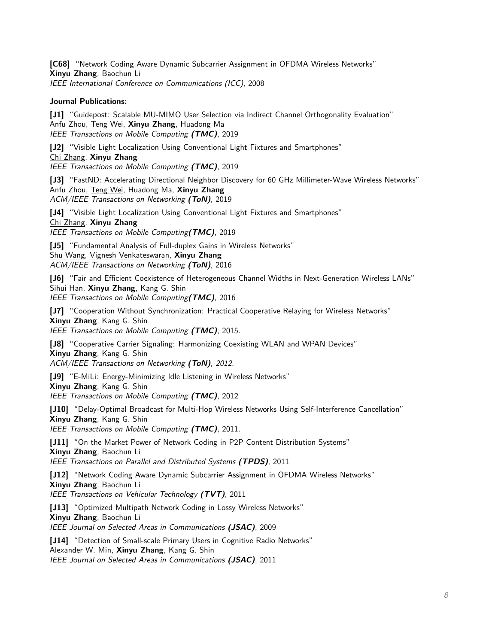**[C68]** "Network Coding Aware Dynamic Subcarrier Assignment in OFDMA Wireless Networks" **Xinyu Zhang**, Baochun Li IEEE International Conference on Communications (ICC), 2008

#### **Journal Publications:**

**[J1]** "Guidepost: Scalable MU-MIMO User Selection via Indirect Channel Orthogonality Evaluation" Anfu Zhou, Teng Wei, **Xinyu Zhang**, Huadong Ma IEEE Transactions on Mobile Computing **(TMC)**, 2019

**[J2]** "Visible Light Localization Using Conventional Light Fixtures and Smartphones" Chi Zhang, **Xinyu Zhang** IEEE Transactions on Mobile Computing **(TMC)**, 2019

**[J3]** "FastND: Accelerating Directional Neighbor Discovery for 60 GHz Millimeter-Wave Wireless Networks" Anfu Zhou, Teng Wei, Huadong Ma, **Xinyu Zhang** ACM/IEEE Transactions on Networking **(ToN)**, 2019

**[J4]** "Visible Light Localization Using Conventional Light Fixtures and Smartphones" Chi Zhang, **Xinyu Zhang**

IEEE Transactions on Mobile Computing**(TMC)**, 2019

**[J5]** "Fundamental Analysis of Full-duplex Gains in Wireless Networks" Shu Wang, Vignesh Venkateswaran, **Xinyu Zhang**

ACM/IEEE Transactions on Networking **(ToN)**, 2016

**[J6]** "Fair and Efficient Coexistence of Heterogeneous Channel Widths in Next-Generation Wireless LANs" Sihui Han, **Xinyu Zhang**, Kang G. Shin IEEE Transactions on Mobile Computing**(TMC)**, 2016

**[J7]** "Cooperation Without Synchronization: Practical Cooperative Relaying for Wireless Networks" **Xinyu Zhang**, Kang G. Shin

IEEE Transactions on Mobile Computing **(TMC)**, 2015.

**[J8]** "Cooperative Carrier Signaling: Harmonizing Coexisting WLAN and WPAN Devices" **Xinyu Zhang**, Kang G. Shin ACM/IEEE Transactions on Networking **(ToN)**, 2012.

**[J9]** "E-MiLi: Energy-Minimizing Idle Listening in Wireless Networks"

**Xinyu Zhang**, Kang G. Shin

IEEE Transactions on Mobile Computing **(TMC)**, 2012

**[J10]** "Delay-Optimal Broadcast for Multi-Hop Wireless Networks Using Self-Interference Cancellation" **Xinyu Zhang**, Kang G. Shin

IEEE Transactions on Mobile Computing **(TMC)**, 2011.

**[J11]** "On the Market Power of Network Coding in P2P Content Distribution Systems"

**Xinyu Zhang**, Baochun Li

IEEE Transactions on Parallel and Distributed Systems **(TPDS)**, 2011

**[J12]** "Network Coding Aware Dynamic Subcarrier Assignment in OFDMA Wireless Networks" **Xinyu Zhang**, Baochun Li

IEEE Transactions on Vehicular Technology **(TVT)**, 2011

**[J13]** "Optimized Multipath Network Coding in Lossy Wireless Networks"

**Xinyu Zhang**, Baochun Li

IEEE Journal on Selected Areas in Communications **(JSAC)**, 2009

**[J14]** "Detection of Small-scale Primary Users in Cognitive Radio Networks"

Alexander W. Min, **Xinyu Zhang**, Kang G. Shin

IEEE Journal on Selected Areas in Communications **(JSAC)**, 2011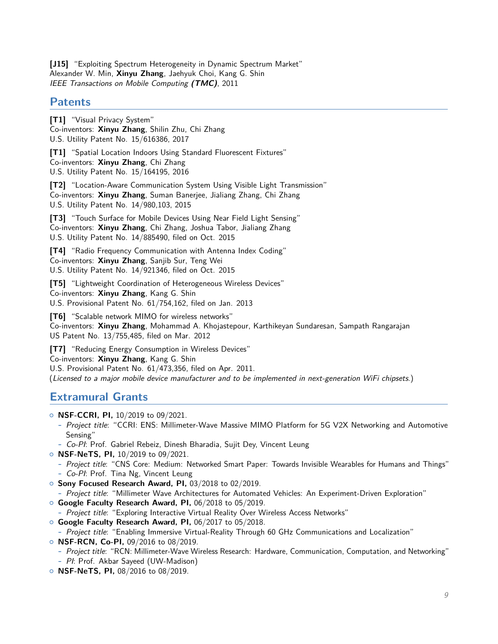**[J15]** "Exploiting Spectrum Heterogeneity in Dynamic Spectrum Market" Alexander W. Min, **Xinyu Zhang**, Jaehyuk Choi, Kang G. Shin IEEE Transactions on Mobile Computing **(TMC)**, 2011

### **Patents**

**[T1]** "Visual Privacy System" Co-inventors: **Xinyu Zhang**, Shilin Zhu, Chi Zhang U.S. Utility Patent No. 15/616386, 2017

**[T1]** "Spatial Location Indoors Using Standard Fluorescent Fixtures" Co-inventors: **Xinyu Zhang**, Chi Zhang U.S. Utility Patent No. 15/164195, 2016

**[T2]** "Location-Aware Communication System Using Visible Light Transmission" Co-inventors: **Xinyu Zhang**, Suman Banerjee, Jialiang Zhang, Chi Zhang U.S. Utility Patent No. 14/980,103, 2015

**[T3]** "Touch Surface for Mobile Devices Using Near Field Light Sensing" Co-inventors: **Xinyu Zhang**, Chi Zhang, Joshua Tabor, Jialiang Zhang U.S. Utility Patent No. 14/885490, filed on Oct. 2015

**[T4]** "Radio Frequency Communication with Antenna Index Coding" Co-inventors: **Xinyu Zhang**, Sanjib Sur, Teng Wei U.S. Utility Patent No. 14/921346, filed on Oct. 2015

**[T5]** "Lightweight Coordination of Heterogeneous Wireless Devices" Co-inventors: **Xinyu Zhang**, Kang G. Shin U.S. Provisional Patent No. 61/754,162, filed on Jan. 2013

**[T6]** "Scalable network MIMO for wireless networks" Co-inventors: **Xinyu Zhang**, Mohammad A. Khojastepour, Karthikeyan Sundaresan, Sampath Rangarajan US Patent No. 13/755,485, filed on Mar. 2012

**[T7]** "Reducing Energy Consumption in Wireless Devices" Co-inventors: **Xinyu Zhang**, Kang G. Shin U.S. Provisional Patent No. 61/473,356, filed on Apr. 2011. (Licensed to a major mobile device manufacturer and to be implemented in next-generation WiFi chipsets.)

# **Extramural Grants**

- { **NSF-CCRI, PI,** 10/2019 to 09/2021.
	- **-** Project title: "CCRI: ENS: Millimeter-Wave Massive MIMO Platform for 5G V2X Networking and Automotive Sensing"
	- **-** Co-PI: Prof. Gabriel Rebeiz, Dinesh Bharadia, Sujit Dey, Vincent Leung
- { **NSF-NeTS, PI,** 10/2019 to 09/2021.
	- **-** Project title: "CNS Core: Medium: Networked Smart Paper: Towards Invisible Wearables for Humans and Things" **-** Co-PI: Prof. Tina Ng, Vincent Leung
- { **Sony Focused Research Award, PI,** 03/2018 to 02/2019.
- **-** Project title: "Millimeter Wave Architectures for Automated Vehicles: An Experiment-Driven Exploration"
- { **Google Faculty Research Award, PI,** 06/2018 to 05/2019.

**-** Project title: "Exploring Interactive Virtual Reality Over Wireless Access Networks"

- { **Google Faculty Research Award, PI,** 06/2017 to 05/2018.
	- **-** Project title: "Enabling Immersive Virtual-Reality Through 60 GHz Communications and Localization"
- { **NSF-RCN, Co-PI,** 09/2016 to 08/2019.
	- **-** Project title: "RCN: Millimeter-Wave Wireless Research: Hardware, Communication, Computation, and Networking"
- **-** PI: Prof. Akbar Sayeed (UW-Madison)
- { **NSF-NeTS, PI,** 08/2016 to 08/2019.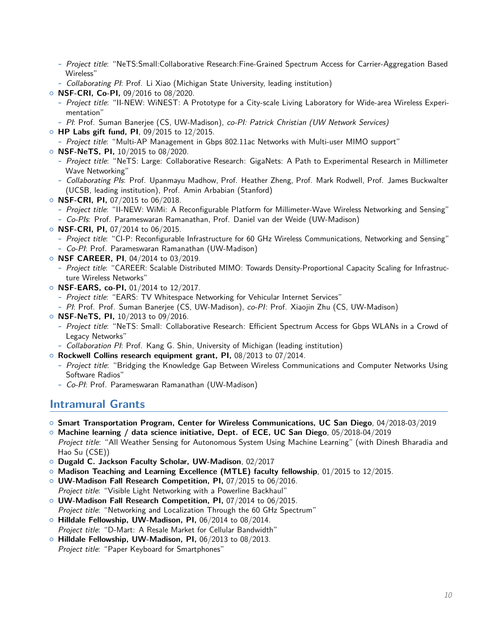- **-** Project title: "NeTS:Small:Collaborative Research:Fine-Grained Spectrum Access for Carrier-Aggregation Based Wireless"
- **-** Collaborating PI: Prof. Li Xiao (Michigan State University, leading institution)
- { **NSF-CRI, Co-PI,** 09/2016 to 08/2020.
	- **-** Project title: "II-NEW: WiNEST: A Prototype for a City-scale Living Laboratory for Wide-area Wireless Experimentation"
	- **-** PI: Prof. Suman Banerjee (CS, UW-Madison), co-PI: Patrick Christian (UW Network Services)
- { **HP Labs gift fund, PI**, 09/2015 to 12/2015.
	- **-** Project title: "Multi-AP Management in Gbps 802.11ac Networks with Multi-user MIMO support"
- { **NSF-NeTS, PI,** 10/2015 to 08/2020.
	- **-** Project title: "NeTS: Large: Collaborative Research: GigaNets: A Path to Experimental Research in Millimeter Wave Networking"
	- **-** Collaborating PIs: Prof. Upanmayu Madhow, Prof. Heather Zheng, Prof. Mark Rodwell, Prof. James Buckwalter (UCSB, leading institution), Prof. Amin Arbabian (Stanford)
- { **NSF-CRI, PI,** 07/2015 to 06/2018.
	- **-** Project title: "II-NEW: WiMi: A Reconfigurable Platform for Millimeter-Wave Wireless Networking and Sensing"
	- **-** Co-PIs: Prof. Parameswaran Ramanathan, Prof. Daniel van der Weide (UW-Madison)
- { **NSF-CRI, PI,** 07/2014 to 06/2015.
	- **-** Project title: "CI-P: Reconfigurable Infrastructure for 60 GHz Wireless Communications, Networking and Sensing"
	- **-** Co-PI: Prof. Parameswaran Ramanathan (UW-Madison)
- { **NSF CAREER, PI**, 04/2014 to 03/2019.
	- **-** Project title: "CAREER: Scalable Distributed MIMO: Towards Density-Proportional Capacity Scaling for Infrastructure Wireless Networks"
- { **NSF-EARS, co-PI,** 01/2014 to 12/2017.
	- **-** Project title: "EARS: TV Whitespace Networking for Vehicular Internet Services"
	- **-** PI: Prof. Prof. Suman Banerjee (CS, UW-Madison), co-PI: Prof. Xiaojin Zhu (CS, UW-Madison)
- { **NSF-NeTS, PI,** 10/2013 to 09/2016.
	- **-** Project title: "NeTS: Small: Collaborative Research: Efficient Spectrum Access for Gbps WLANs in a Crowd of Legacy Networks"
	- **-** Collaboration PI: Prof. Kang G. Shin, University of Michigan (leading institution)
- { **Rockwell Collins research equipment grant, PI,** 08/2013 to 07/2014.
	- **-** Project title: "Bridging the Knowledge Gap Between Wireless Communications and Computer Networks Using Software Radios"
	- **-** Co-PI: Prof. Parameswaran Ramanathan (UW-Madison)

## **Intramural Grants**

- { **Smart Transportation Program, Center for Wireless Communications, UC San Diego**, 04/2018-03/2019
- { **Machine learning / data science initiative, Dept. of ECE, UC San Diego**, 05/2018-04/2019 Project title: "All Weather Sensing for Autonomous System Using Machine Learning" (with Dinesh Bharadia and Hao Su (CSE))
- { **Dugald C. Jackson Faculty Scholar, UW-Madison**, 02/2017
- { **Madison Teaching and Learning Excellence (MTLE) faculty fellowship**, 01/2015 to 12/2015.
- { **UW-Madison Fall Research Competition, PI,** 07/2015 to 06/2016. Project title: "Visible Light Networking with a Powerline Backhaul"
- { **UW-Madison Fall Research Competition, PI,** 07/2014 to 06/2015. Project title: "Networking and Localization Through the 60 GHz Spectrum"
- { **Hilldale Fellowship, UW-Madison, PI,** 06/2014 to 08/2014.
- Project title: "D-Mart: A Resale Market for Cellular Bandwidth"
- { **Hilldale Fellowship, UW-Madison, PI,** 06/2013 to 08/2013. Project title: "Paper Keyboard for Smartphones"